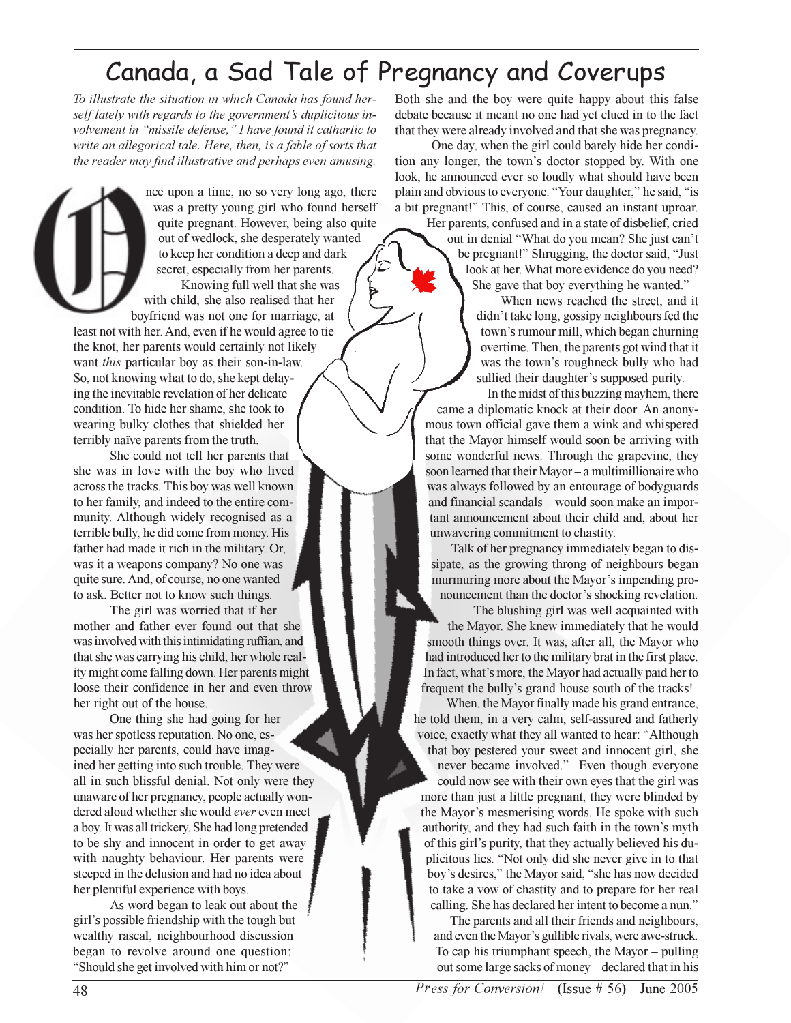## Canada, a Sad Tale of Pregnancy and Coverups

To illustrate the situation in which Canada has found herself lately with regards to the government's duplicitous involvement in "missile defense," I have found it cathartic to write an allegorical tale. Here, then, is a fable of sorts that the reader may find illustrative and perhaps even amusing.

> nce upon a time, no so very long ago, there was a pretty young girl who found herself quite pregnant. However, being also quite out of wedlock, she desperately wanted to keep her condition a deep and dark secret, especially from her parents. Knowing full well that she was

with child, she also realised that her boyfriend was not one for marriage, at least not with her. And, even if he would agree to tie

the knot, her parents would certainly not likely want *this* particular boy as their son-in-law. So, not knowing what to do, she kept delaying the inevitable revelation of her delicate condition. To hide her shame, she took to wearing bulky clothes that shielded her terribly naïve parents from the truth.

She could not tell her parents that she was in love with the boy who lived across the tracks. This boy was well known to her family, and indeed to the entire community. Although widely recognised as a terrible bully, he did come from money. His father had made it rich in the military. Or, was it a weapons company? No one was quite sure. And, of course, no one wanted to ask. Better not to know such things.

The girl was worried that if her mother and father ever found out that she was involved with this intimidating ruffian, and that she was carrying his child, her whole reality might come falling down. Her parents might loose their confidence in her and even throw her right out of the house.

One thing she had going for her was her spotless reputation. No one, especially her parents, could have imagined her getting into such trouble. They were all in such blissful denial. Not only were they unaware of her pregnancy, people actually wondered aloud whether she would ever even meet a boy. It was all trickery. She had long pretended to be shy and innocent in order to get away with naughty behaviour. Her parents were steeped in the delusion and had no idea about her plentiful experience with boys.

As word began to leak out about the girl's possible friendship with the tough but wealthy rascal, neighbourhood discussion began to revolve around one question: "Should she get involved with him or not?"

Both she and the boy were quite happy about this false debate because it meant no one had yet clued in to the fact that they were already involved and that she was pregnancy.

One day, when the girl could barely hide her condition any longer, the town's doctor stopped by. With one look, he announced ever so loudly what should have been plain and obvious to everyone. "Your daughter," he said, "is a bit pregnant!" This, of course, caused an instant uproar.

Her parents, confused and in a state of disbelief, cried out in denial "What do you mean? She just can't be pregnant!" Shrugging, the doctor said, "Just look at her. What more evidence do you need? She gave that boy everything he wanted."

 When news reached the street, and it didn't take long, gossipy neighbours fed the town's rumour mill, which began churning overtime. Then, the parents got wind that it was the town's roughneck bully who had sullied their daughter's supposed purity.

 In the midst of this buzzing mayhem, there came a diplomatic knock at their door. An anonymous town official gave them a wink and whispered that the Mayor himself would soon be arriving with some wonderful news. Through the grapevine, they soon learned that their Mayor – a multimillionaire who was always followed by an entourage of bodyguards and financial scandals – would soon make an important announcement about their child and, about her unwavering commitment to chastity.

 Talk of her pregnancy immediately began to dissipate, as the growing throng of neighbours began murmuring more about the Mayor's impending pronouncement than the doctor's shocking revelation.

 The blushing girl was well acquainted with the Mayor. She knew immediately that he would smooth things over. It was, after all, the Mayor who had introduced her to the military brat in the first place. In fact, what's more, the Mayor had actually paid her to frequent the bully's grand house south of the tracks!

 When, the Mayor finally made his grand entrance, he told them, in a very calm, self-assured and fatherly voice, exactly what they all wanted to hear: "Although that boy pestered your sweet and innocent girl, she never became involved." Even though everyone could now see with their own eyes that the girl was more than just a little pregnant, they were blinded by the Mayor's mesmerising words. He spoke with such authority, and they had such faith in the town's myth of this girl's purity, that they actually believed his duplicitous lies. "Not only did she never give in to that boy's desires," the Mayor said, "she has now decided to take a vow of chastity and to prepare for her real calling. She has declared her intent to become a nun."

 The parents and all their friends and neighbours, and even the Mayor's gullible rivals, were awe-struck. To cap his triumphant speech, the Mayor – pulling out some large sacks of money – declared that in his